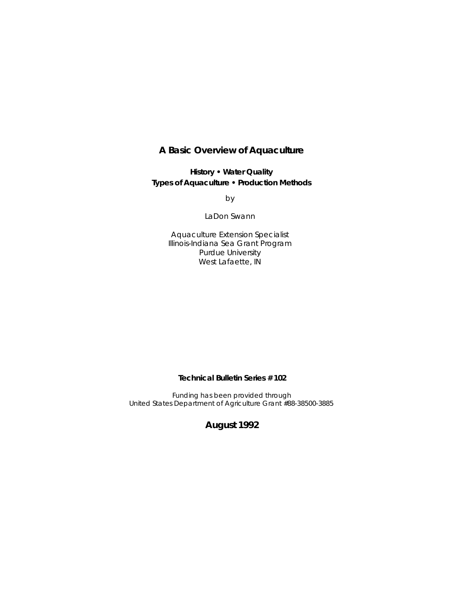## **A Basic Overview of Aquaculture**

**History • Water Quality Types of Aquaculture • Production Methods**

by

LaDon Swann

Aquaculture Extension Specialist Illinois-Indiana Sea Grant Program Purdue University West Lafaette, IN

**Technical Bulletin Series # 102**

Funding has been provided through United States Department of Agriculture Grant #88-38500-3885

**August 1992**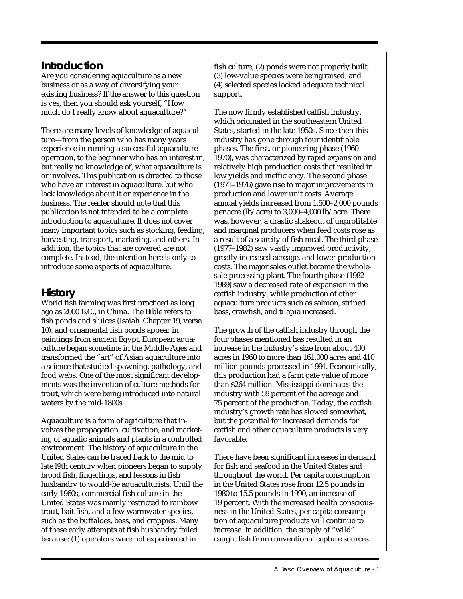# **Introduction**

Are you considering aquaculture as a new business or as a way of diversifying your existing business? If the answer to this question is yes, then you should ask yourself, "How much do I really know about aquaculture?"

There are many levels of knowledge of aquaculture—from the person who has many years experience in running a successful aquaculture operation, to the beginner who has an interest in, but really no knowledge of, what aquaculture is or involves. This publication is directed to those who have an interest in aquaculture, but who lack knowledge about it or experience in the business. The reader should note that this publication is not intended to be a complete introduction to aquaculture. It does not cover many important topics such as stocking, feeding, harvesting, transport, marketing, and others. In addition, the topics that are covered are not complete. Instead, the intention here is only to introduce some aspects of aquaculture.

# **History**

World fish farming was first practiced as long ago as 2000 B.C., in China. The Bible refers to fish ponds and sluices (Isaiah, Chapter 19, verse 10), and ornamental fish ponds appear in paintings from ancient Egypt. European aquaculture began sometime in the Middle Ages and transformed the "art" of Asian aquaculture into a science that studied spawning, pathology, and food webs. One of the most significant developments was the invention of culture methods for trout, which were being introduced into natural waters by the mid-1800s.

Aquaculture is a form of agriculture that involves the propagation, cultivation, and marketing of aquatic animals and plants in a controlled environment. The history of aquaculture in the United States can be traced back to the mid to late l9th century when pioneers began to supply brood fish, fingerlings, and lessons in fish husbandry to would-be aquaculturists. Until the early 1960s, commercial fish culture in the United States was mainly restricted to rainbow trout, bait fish, and a few warmwater species, such as the buffaloes, bass, and crappies. Many of these early attempts at fish husbandry failed because: (1) operators were not experienced in

fish culture, (2) ponds were not properly built, (3) low-value species were being raised, and (4) selected species lacked adequate technical support.

The now firmly established catfish industry, which originated in the southeastern United States, started in the late 1950s. Since then this industry has gone through four identifiable phases. The first, or pioneering phase (1960– 1970), was characterized by rapid expansion and relatively high production costs that resulted in low yields and inefficiency. The second phase (1971–1976) gave rise to major improvements in production and lower unit costs. Average annual yields increased from 1,500–2,000 pounds per acre (lb/acre) to 3,000–4,000 lb/acre. There was, however, a drastic shakeout of unprofitable and marginal producers when feed costs rose as a result of a scarcity of fish meal. The third phase (1977–1982) saw vastly improved productivity, greatly increased acreage, and lower production costs. The major sales outlet became the wholesale processing plant. The fourth phase (1982– 1989) saw a decreased rate of expansion in the catfish industry, while production of other aquaculture products such as salmon, striped bass, crawfish, and tilapia increased.

The growth of the catfish industry through the four phases mentioned has resulted in an increase in the industry's size from about 400 acres in 1960 to more than 161,000 acres and 410 million pounds processed in 1991. Economically, this production had a farm gate value of more than \$264 million. Mississippi dominates the industry with 59 percent of the acreage and 75 percent of the production. Today, the catfish industry's growth rate has slowed somewhat, but the potential for increased demands for catfish and other aquaculture products is very favorable.

There have been significant increases in demand for fish and seafood in the United States and throughout the world. Per capita consumption in the United States rose from 12.5 pounds in 1980 to 15.5 pounds in 1990, an increase of 19 percent. With the increased health consciousness in the United States, per capita consumption of aquaculture products will continue to increase. In addition, the supply of "wild" caught fish from conventional capture sources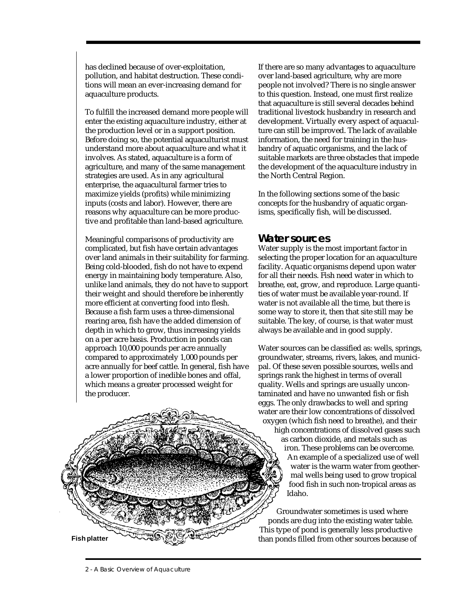has declined because of over-exploitation, pollution, and habitat destruction. These conditions will mean an ever-increasing demand for aquaculture products.

To fulfill the increased demand more people will enter the existing aquaculture industry, either at the production level or in a support position. Before doing so, the potential aquaculturist must understand more about aquaculture and what it involves. As stated, aquaculture is a form of agriculture, and many of the same management strategies are used. As in any agricultural enterprise, the aquacultural farmer tries to maximize yields (profits) while minimizing inputs (costs and labor). However, there are reasons why aquaculture can be more productive and profitable than land-based agriculture.

Meaningful comparisons of productivity are complicated, but fish have certain advantages over land animals in their suitability for farming. Being cold-blooded, fish do not have to expend energy in maintaining body temperature. Also, unlike land animals, they do not have to support their weight and should therefore be inherently more efficient at converting food into flesh. Because a fish farm uses a three-dimensional rearing area, fish have the added dimension of depth in which to grow, thus increasing yields on a per acre basis. Production in ponds can approach 10,000 pounds per acre annually compared to approximately 1,000 pounds per acre annually for beef cattle. In general, fish have a lower proportion of inedible bones and offal, which means a greater processed weight for the producer.



If there are so many advantages to aquaculture over land-based agriculture, why are more people not involved? There is no single answer to this question. Instead, one must first realize that aquaculture is still several decades behind traditional livestock husbandry in research and development. Virtually every aspect of aquaculture can still be improved. The lack of available information, the need for training in the husbandry of aquatic organisms, and the lack of suitable markets are three obstacles that impede the development of the aquaculture industry in the North Central Region.

In the following sections some of the basic concepts for the husbandry of aquatic organisms, specifically fish, will be discussed.

## **Water sources**

Water supply is the most important factor in selecting the proper location for an aquaculture facility. Aquatic organisms depend upon water for all their needs. Fish need water in which to breathe, eat, grow, and reproduce. Large quantities of water must be available year-round. If water is not available all the time, but there is some way to store it, then that site still may be suitable. The key, of course, is that water must always be available and in good supply.

Water sources can be classified as: wells, springs, groundwater, streams, rivers, lakes, and municipal. Of these seven possible sources, wells and springs rank the highest in terms of overall quality. Wells and springs are usually uncontaminated and have no unwanted fish or fish eggs. The only drawbacks to well and spring water are their low concentrations of dissolved oxygen (which fish need to breathe), and their high concentrations of dissolved gases such as carbon dioxide, and metals such as iron. These problems can be overcome. An example of a specialized use of well water is the warm water from geothermal wells being used to grow tropical food fish in such non-tropical areas as Idaho.

Groundwater sometimes is used where ponds are dug into the existing water table. This type of pond is generally less productive than ponds filled from other sources because of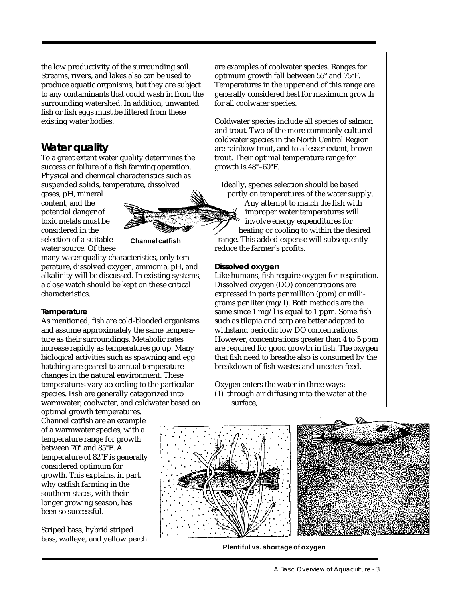the low productivity of the surrounding soil. Streams, rivers, and lakes also can be used to produce aquatic organisms, but they are subject to any contaminants that could wash in from the surrounding watershed. In addition, unwanted fish or fish eggs must be filtered from these existing water bodies.

## **Water quality**

To a great extent water quality determines the success or failure of a fish farming operation. Physical and chemical characteristics such as suspended solids, temperature, dissolved

gases, pH, mineral content, and the potential danger of toxic metals must be considered in the selection of a suitable water source. Of these



many water quality characteristics, only temperature, dissolved oxygen, ammonia, pH, and alkalinity will be discussed. In existing systems, a close watch should be kept on these critical

## **Temperature**

characteristics.

As mentioned, fish are cold-blooded organisms and assume approximately the same temperature as their surroundings. Metabolic rates increase rapidly as temperatures go up. Many biological activities such as spawning and egg hatching are geared to annual temperature changes in the natural environment. These temperatures vary according to the particular species. Fish are generally categorized into warmwater, coolwater, and coldwater based on

optimal growth temperatures. Channel catfish are an example of a warmwater species, with a temperature range for growth between 70° and 85°F. A temperature of 82°F is generally considered optimum for growth. This explains, in part, why catfish farming in the southern states, with their longer growing season, has been so successful.

Striped bass, hybrid striped bass, walleye, and yellow perch are examples of coolwater species. Ranges for optimum growth fall between 55° and 75°F. Temperatures in the upper end of this range are generally considered best for maximum growth for all coolwater species.

Coldwater species include all species of salmon and trout. Two of the more commonly cultured coldwater species in the North Central Region are rainbow trout, and to a lesser extent, brown trout. Their optimal temperature range for growth is 48°–60°F.

Ideally, species selection should be based partly on temperatures of the water supply.

Any attempt to match the fish with improper water temperatures will involve energy expenditures for heating or cooling to within the desired range. This added expense will subsequently reduce the farmer's profits.

## **Dissolved oxygen**

Like humans, fish require oxygen for respiration. Dissolved oxygen (DO) concentrations are expressed in parts per million (ppm) or milligrams per liter (mg/l). Both methods are the same since 1 mg/l is equal to 1 ppm. Some fish such as tilapia and carp are better adapted to withstand periodic low DO concentrations. However, concentrations greater than 4 to 5 ppm are required for good growth in fish. The oxygen that fish need to breathe also is consumed by the breakdown of fish wastes and uneaten feed.

Oxygen enters the water in three ways: (1) through air diffusing into the water at the

surface,



**Plentiful vs. shortage of oxygen**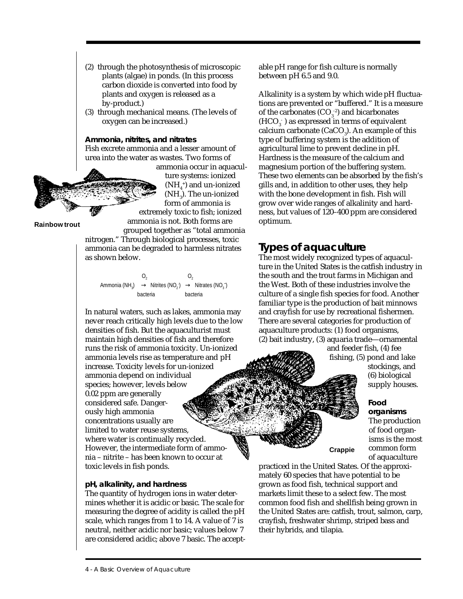- (2) through the photosynthesis of microscopic plants (algae) in ponds. (In this process carbon dioxide is converted into food by plants and oxygen is released as a by-product.)
- (3) through mechanical means. (The levels of oxygen can be increased.)

**Ammonia, nitrites, and nitrates** Fish excrete ammonia and a lesser amount of urea into the water as wastes. Two forms of

> ammonia occur in aquaculture systems: ionized  $(NH<sub>4</sub><sup>+</sup>)$  and un-ionized  $(MH<sub>3</sub>)$ . The un-ionized form of ammonia is extremely toxic to fish; ionized

ammonia is not. Both forms are

grouped together as "total ammonia nitrogen." Through biological processes, toxic ammonia can be degraded to harmless nitrates as shown below.

 $O_2$   $O_2$ Ammonia (NH<sub>3</sub>)  $\rightarrow$  Nitrites (NO<sub>2</sub>)  $\rightarrow$  Nitrates (NO<sub>3</sub>)

bacteria bacteria

In natural waters, such as lakes, ammonia may never reach critically high levels due to the low densities of fish. But the aquaculturist must maintain high densities of fish and therefore runs the risk of ammonia toxicity. Un-ionized ammonia levels rise as temperature and pH increase. Toxicity levels for un-ionized ammonia depend on individual species; however, levels below 0.02 ppm are generally considered safe. Dangerously high ammonia concentrations usually are limited to water reuse systems, where water is continually recycled. However, the intermediate form of ammonia – nitrite – has been known to occur at toxic levels in fish ponds.

### **pH, alkalinity, and hardness**

The quantity of hydrogen ions in water determines whether it is acidic or basic. The scale for measuring the degree of acidity is called the pH scale, which ranges from 1 to 14. A value of 7 is neutral, neither acidic nor basic; values below 7 are considered acidic; above 7 basic. The acceptable pH range for fish culture is normally between pH 6.5 and 9.0.

Alkalinity is a system by which wide pH fluctuations are prevented or "buffered." It is a measure of the carbonates  $(CO<sub>3</sub><sup>-2</sup>)$  and bicarbonates  $(HCO<sub>3</sub>)$  as expressed in terms of equivalent calcium carbonate (CaCO<sub>3</sub>). An example of this type of buffering system is the addition of agricultural lime to prevent decline in pH. Hardness is the measure of the calcium and magnesium portion of the buffering system. These two elements can be absorbed by the fish's gills and, in addition to other uses, they help with the bone development in fish. Fish will grow over wide ranges of alkalinity and hardness, but values of 120–400 ppm are considered optimum.

## **Types of aquaculture**

The most widely recognized types of aquaculture in the United States is the catfish industry in the south and the trout farms in Michigan and the West. Both of these industries involve the culture of a single fish species for food. Another familiar type is the production of bait minnows and crayfish for use by recreational fishermen. There are several categories for production of aquaculture products: (1) food organisms, (2) bait industry, (3) aquaria trade—ornamental

> and feeder fish, (4) fee fishing, (5) pond and lake stockings, and (6) biological

> > **Food**

**organisms** The production of food organisms is the most common form of aquaculture

supply houses.

practiced in the United States. Of the approximately 60 species that have potential to be grown as food fish, technical support and markets limit these to a select few. The most common food fish and shellfish being grown in the United States are: catfish, trout, salmon, carp, crayfish, freshwater shrimp, striped bass and their hybrids, and tilapia.

**Crappie**

### **Rainbow trout**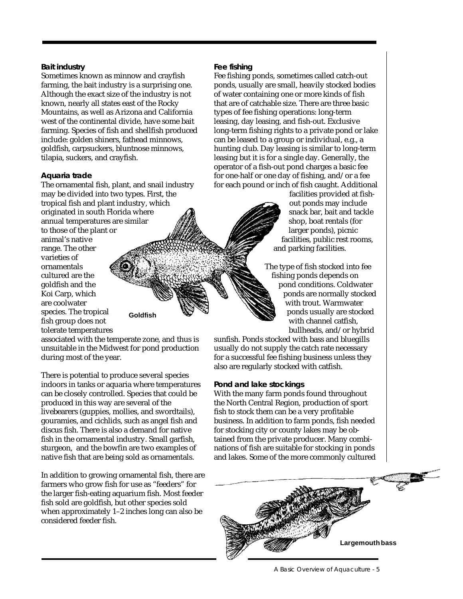### **Bait industry**

Sometimes known as minnow and crayfish farming, the bait industry is a surprising one. Although the exact size of the industry is not known, nearly all states east of the Rocky Mountains, as well as Arizona and California west of the continental divide, have some bait farming. Species of fish and shellfish produced include: golden shiners, fathead minnows, goldfish, carpsuckers, bluntnose minnows, tilapia, suckers, and crayfish.

### **Aquaria trade**

The ornamental fish, plant, and snail industry may be divided into two types. First, the tropical fish and plant industry, which originated in south Florida where annual temperatures are similar to those of the plant or animal's native range. The other varieties of ornamentals cultured are the goldfish and the Koi Carp, which are coolwater species. The tropical fish group does not tolerate temperatures **Goldfish**

associated with the temperate zone, and thus is unsuitable in the Midwest for pond production during most of the year.

There is potential to produce several species indoors in tanks or aquaria where temperatures can be closely controlled. Species that could be produced in this way are several of the livebearers (guppies, mollies, and swordtails), gouramies, and cichlids, such as angel fish and discus fish. There is also a demand for native fish in the ornamental industry. Small garfish, sturgeon, and the bowfin are two examples of native fish that are being sold as ornamentals.

In addition to growing ornamental fish, there are farmers who grow fish for use as "feeders" for the larger fish-eating aquarium fish. Most feeder fish sold are goldfish, but other species sold when approximately 1–2 inches long can also be considered feeder fish.

#### **Fee fishing**

Fee fishing ponds, sometimes called catch-out ponds, usually are small, heavily stocked bodies of water containing one or more kinds of fish that are of catchable size. There are three basic types of fee fishing operations: long-term leasing, day leasing, and fish-out. Exclusive long-term fishing rights to a private pond or lake can be leased to a group or individual, e.g., a hunting club. Day leasing is similar to long-term leasing but it is for a single day. Generally, the operator of a fish-out pond charges a basic fee for one-half or one day of fishing, and/or a fee for each pound or inch of fish caught. Additional

> facilities provided at fishout ponds may include snack bar, bait and tackle shop, boat rentals (for larger ponds), picnic facilities, public rest rooms, and parking facilities.

The type of fish stocked into fee fishing ponds depends on pond conditions. Coldwater ponds are normally stocked with trout. Warmwater ponds usually are stocked with channel catfish, bullheads, and/or hybrid

sunfish. Ponds stocked with bass and bluegills usually do not supply the catch rate necessary for a successful fee fishing business unless they also are regularly stocked with catfish.

#### **Pond and lake stockings**

With the many farm ponds found throughout the North Central Region, production of sport fish to stock them can be a very profitable business. In addition to farm ponds, fish needed for stocking city or county lakes may be obtained from the private producer. Many combinations of fish are suitable for stocking in ponds and lakes. Some of the more commonly cultured

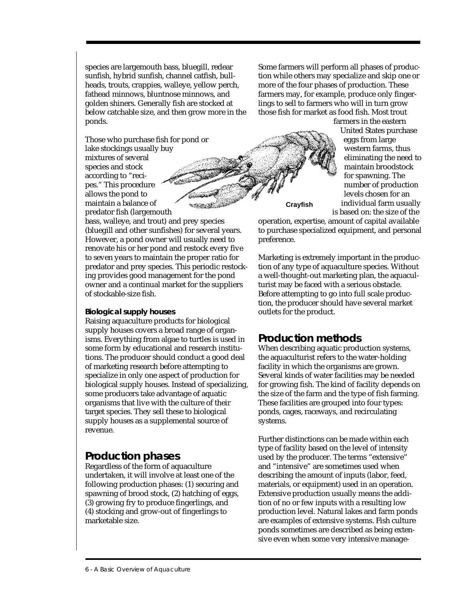species are largemouth bass, bluegill, redear sunfish, hybrid sunfish, channel catfish, bullheads, trouts, crappies, walleye, yellow perch, fathead minnows, bluntnose minnows, and golden shiners. Generally fish are stocked at below catchable size, and then grow more in the ponds.

Those who purchase fish for pond or lake stockings usually buy mixtures of several species and stock according to "recipes." This procedure allows the pond to maintain a balance of predator fish (largemouth

bass, walleye, and trout) and prey species (bluegill and other sunfishes) for several years. However, a pond owner will usually need to renovate his or her pond and restock every five to seven years to maintain the proper ratio for predator and prey species. This periodic restocking provides good management for the pond owner and a continual market for the suppliers of stockable-size fish.

### **Biological supply houses**

Raising aquaculture products for biological supply houses covers a broad range of organisms. Everything from algae to turtles is used in some form by educational and research institutions. The producer should conduct a good deal of marketing research before attempting to specialize in only one aspect of production for biological supply houses. Instead of specializing, some producers take advantage of aquatic organisms that live with the culture of their target species. They sell these to biological supply houses as a supplemental source of revenue.

## **Production phases**

Regardless of the form of aquaculture undertaken, it will involve at least one of the following production phases: (1) securing and spawning of brood stock, (2) hatching of eggs, (3) growing fry to produce fingerlings, and (4) stocking and grow-out of fingerlings to marketable size.

Some farmers will perform all phases of production while others may specialize and skip one or more of the four phases of production. These farmers may, for example, produce only fingerlings to sell to farmers who will in turn grow those fish for market as food fish. Most trout

> farmers in the eastern United States purchase eggs from large western farms, thus eliminating the need to maintain broodstock for spawning. The number of production levels chosen for an individual farm usually is based on: the size of the

**Crayfish**

operation, expertise, amount of capital available to purchase specialized equipment, and personal preference.

Marketing is extremely important in the production of any type of aquaculture species. Without a well-thought-out marketing plan, the aquaculturist may be faced with a serious obstacle. Before attempting to go into full scale production, the producer should have several market outlets for the product.

# **Production methods**

When describing aquatic production systems, the aquaculturist refers to the water-holding facility in which the organisms are grown. Several kinds of water facilities may be needed for growing fish. The kind of facility depends on the size of the farm and the type of fish farming. These facilities are grouped into four types: ponds, cages, raceways, and recirculating systems.

Further distinctions can be made within each type of facility based on the level of intensity used by the producer. The terms "extensive" and "intensive" are sometimes used when describing the amount of inputs (labor, feed, materials, or equipment) used in an operation. Extensive production usually means the addition of no or few inputs with a resulting low production level. Natural lakes and farm ponds are examples of extensive systems. Fish culture ponds sometimes are described as being extensive even when some very intensive manage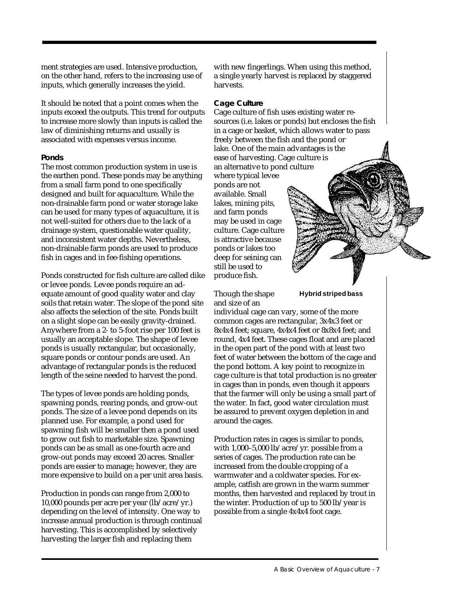ment strategies are used. Intensive production, on the other hand, refers to the increasing use of inputs, which generally increases the yield.

It should be noted that a point comes when the inputs exceed the outputs. This trend for outputs to increase more slowly than inputs is called the law of diminishing returns and usually is associated with expenses versus income.

## **Ponds**

The most common production system in use is the earthen pond. These ponds may be anything from a small farm pond to one specifically designed and built for aquaculture. While the non-drainable farm pond or water storage lake can be used for many types of aquaculture, it is not well-suited for others due to the lack of a drainage system, questionable water quality, and inconsistent water depths. Nevertheless, non-drainable farm ponds are used to produce fish in cages and in fee-fishing operations.

Ponds constructed for fish culture are called dike or levee ponds. Levee ponds require an adequate amount of good quality water and clay soils that retain water. The slope of the pond site also affects the selection of the site. Ponds built on a slight slope can be easily gravity-drained. Anywhere from a 2- to 5-foot rise per 100 feet is usually an acceptable slope. The shape of levee ponds is usually rectangular, but occasionally, square ponds or contour ponds are used. An advantage of rectangular ponds is the reduced length of the seine needed to harvest the pond.

The types of levee ponds are holding ponds, spawning ponds, rearing ponds, and grow-out ponds. The size of a levee pond depends on its planned use. For example, a pond used for spawning fish will be smaller then a pond used to grow out fish to marketable size. Spawning ponds can be as small as one-fourth acre and grow-out ponds may exceed 20 acres. Smaller ponds are easier to manage; however, they are more expensive to build on a per unit area basis.

Production in ponds can range from 2,000 to 10,000 pounds per acre per year (lb/acre/yr.) depending on the level of intensity. One way to increase annual production is through continual harvesting. This is accomplished by selectively harvesting the larger fish and replacing them

with new fingerlings. When using this method, a single yearly harvest is replaced by staggered harvests.

## **Cage Culture**

Cage culture of fish uses existing water resources (i.e. lakes or ponds) but encloses the fish in a cage or basket, which allows water to pass freely between the fish and the pond or lake. One of the main advantages is the ease of harvesting. Cage culture is an alternative to pond culture where typical levee ponds are not available. Small lakes, mining pits, and farm ponds may be used in cage culture. Cage culture is attractive because ponds or lakes too deep for seining can still be used to produce fish.

Though the shape and size of an

## **Hybrid striped bass**

individual cage can vary, some of the more common cages are rectangular, 3x4x3 feet or 8x4x4 feet; square, 4x4x4 feet or 8x8x4 feet; and round, 4x4 feet. These cages float and are placed in the open part of the pond with at least two feet of water between the bottom of the cage and the pond bottom. A key point to recognize in cage culture is that total production is no greater in cages than in ponds, even though it appears that the farmer will only be using a small part of the water. In fact, good water circulation must be assured to prevent oxygen depletion in and around the cages.

Production rates in cages is similar to ponds, with 1,000–5,000 lb/acre/yr. possible from a series of cages. The production rate can be increased from the double cropping of a warmwater and a coldwater species. For example, catfish are grown in the warm summer months, then harvested and replaced by trout in the winter. Production of up to 500 lb/year is possible from a single 4x4x4 foot cage.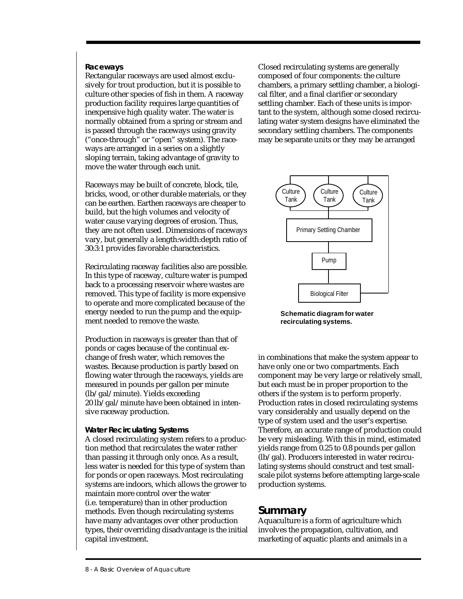## **Raceways**

Rectangular raceways are used almost exclusively for trout production, but it is possible to culture other species of fish in them. A raceway production facility requires large quantities of inexpensive high quality water. The water is normally obtained from a spring or stream and is passed through the raceways using gravity ("once-through" or "open" system). The raceways are arranged in a series on a slightly sloping terrain, taking advantage of gravity to move the water through each unit.

Raceways may be built of concrete, block, tile, bricks, wood, or other durable materials, or they can be earthen. Earthen raceways are cheaper to build, but the high volumes and velocity of water cause varying degrees of erosion. Thus, they are not often used. Dimensions of raceways vary, but generally a length:width:depth ratio of 30:3:1 provides favorable characteristics.

Recirculating raceway facilities also are possible. In this type of raceway, culture water is pumped back to a processing reservoir where wastes are removed. This type of facility is more expensive to operate and more complicated because of the energy needed to run the pump and the equipment needed to remove the waste.

Production in raceways is greater than that of ponds or cages because of the continual exchange of fresh water, which removes the wastes. Because production is partly based on flowing water through the raceways, yields are measured in pounds per gallon per minute (lb/gal/minute). Yields exceeding 20 lb/gal/minute have been obtained in intensive raceway production.

#### **Water Recirculating Systems**

A closed recirculating system refers to a production method that recirculates the water rather than passing it through only once. As a result, less water is needed for this type of system than for ponds or open raceways. Most recirculating systems are indoors, which allows the grower to maintain more control over the water (i.e. temperature) than in other production methods. Even though recirculating systems have many advantages over other production types, their overriding disadvantage is the initial capital investment.

Closed recirculating systems are generally composed of four components: the culture chambers, a primary settling chamber, a biological filter, and a final clarifier or secondary settling chamber. Each of these units is important to the system, although some closed recirculating water system designs have eliminated the secondary settling chambers. The components may be separate units or they may be arranged



**Schematic diagram for water recirculating systems.**

in combinations that make the system appear to have only one or two compartments. Each component may be very large or relatively small, but each must be in proper proportion to the others if the system is to perform properly. Production rates in closed recirculating systems vary considerably and usually depend on the type of system used and the user's expertise. Therefore, an accurate range of production could be very misleading. With this in mind, estimated yields range from 0.25 to 0.8 pounds per gallon (lb/gal). Producers interested in water recirculating systems should construct and test smallscale pilot systems before attempting large-scale production systems.

## **Summary**

Aquaculture is a form of agriculture which involves the propagation, cultivation, and marketing of aquatic plants and animals in a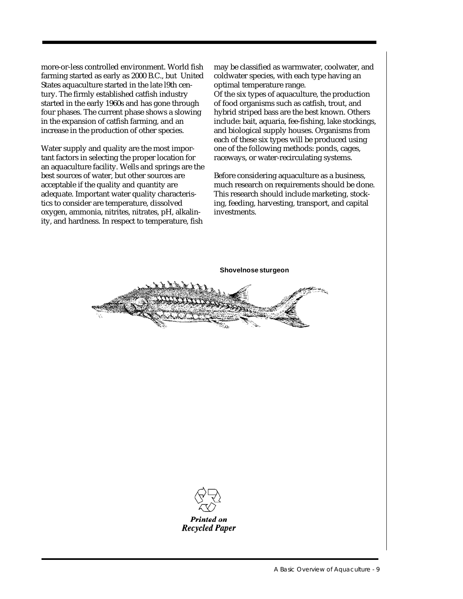more-or-less controlled environment. World fish farming started as early as 2000 B.C., but United States aquaculture started in the late l9th century. The firmly established catfish industry started in the early 1960s and has gone through four phases. The current phase shows a slowing in the expansion of catfish farming, and an increase in the production of other species.

Water supply and quality are the most important factors in selecting the proper location for an aquaculture facility. Wells and springs are the best sources of water, but other sources are acceptable if the quality and quantity are adequate. Important water quality characteristics to consider are temperature, dissolved oxygen, ammonia, nitrites, nitrates, pH, alkalinity, and hardness. In respect to temperature, fish

may be classified as warmwater, coolwater, and coldwater species, with each type having an optimal temperature range. Of the six types of aquaculture, the production

of food organisms such as catfish, trout, and hybrid striped bass are the best known. Others include: bait, aquaria, fee-fishing, lake stockings, and biological supply houses. Organisms from each of these six types will be produced using one of the following methods: ponds, cages, raceways, or water-recirculating systems.

Before considering aquaculture as a business, much research on requirements should be done. This research should include marketing, stocking, feeding, harvesting, transport, and capital investments.